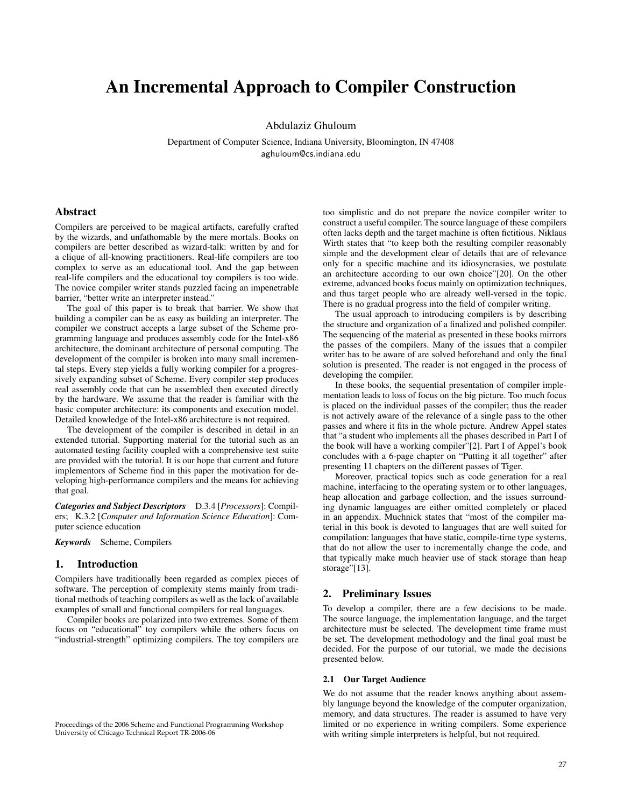# An Incremental Approach to Compiler Construction

Abdulaziz Ghuloum

Department of Computer Science, Indiana University, Bloomington, IN 47408 aghuloum@cs.indiana.edu

## Abstract

Compilers are perceived to be magical artifacts, carefully crafted by the wizards, and unfathomable by the mere mortals. Books on compilers are better described as wizard-talk: written by and for a clique of all-knowing practitioners. Real-life compilers are too complex to serve as an educational tool. And the gap between real-life compilers and the educational toy compilers is too wide. The novice compiler writer stands puzzled facing an impenetrable barrier, "better write an interpreter instead."

The goal of this paper is to break that barrier. We show that building a compiler can be as easy as building an interpreter. The compiler we construct accepts a large subset of the Scheme programming language and produces assembly code for the Intel-x86 architecture, the dominant architecture of personal computing. The development of the compiler is broken into many small incremental steps. Every step yields a fully working compiler for a progressively expanding subset of Scheme. Every compiler step produces real assembly code that can be assembled then executed directly by the hardware. We assume that the reader is familiar with the basic computer architecture: its components and execution model. Detailed knowledge of the Intel-x86 architecture is not required.

The development of the compiler is described in detail in an extended tutorial. Supporting material for the tutorial such as an automated testing facility coupled with a comprehensive test suite are provided with the tutorial. It is our hope that current and future implementors of Scheme find in this paper the motivation for developing high-performance compilers and the means for achieving that goal.

*Categories and Subject Descriptors* D.3.4 [*Processors*]: Compilers; K.3.2 [*Computer and Information Science Education*]: Computer science education

*Keywords* Scheme, Compilers

### 1. Introduction

Compilers have traditionally been regarded as complex pieces of software. The perception of complexity stems mainly from traditional methods of teaching compilers as well as the lack of available examples of small and functional compilers for real languages.

Compiler books are polarized into two extremes. Some of them focus on "educational" toy compilers while the others focus on "industrial-strength" optimizing compilers. The toy compilers are

Proceedings of the 2006 Scheme and Functional Programming Workshop University of Chicago Technical Report TR-2006-06

too simplistic and do not prepare the novice compiler writer to construct a useful compiler. The source language of these compilers often lacks depth and the target machine is often fictitious. Niklaus Wirth states that "to keep both the resulting compiler reasonably simple and the development clear of details that are of relevance only for a specific machine and its idiosyncrasies, we postulate an architecture according to our own choice"[20]. On the other extreme, advanced books focus mainly on optimization techniques, and thus target people who are already well-versed in the topic. There is no gradual progress into the field of compiler writing.

The usual approach to introducing compilers is by describing the structure and organization of a finalized and polished compiler. The sequencing of the material as presented in these books mirrors the passes of the compilers. Many of the issues that a compiler writer has to be aware of are solved beforehand and only the final solution is presented. The reader is not engaged in the process of developing the compiler.

In these books, the sequential presentation of compiler implementation leads to loss of focus on the big picture. Too much focus is placed on the individual passes of the compiler; thus the reader is not actively aware of the relevance of a single pass to the other passes and where it fits in the whole picture. Andrew Appel states that "a student who implements all the phases described in Part I of the book will have a working compiler"[2]. Part I of Appel's book concludes with a 6-page chapter on "Putting it all together" after presenting 11 chapters on the different passes of Tiger.

Moreover, practical topics such as code generation for a real machine, interfacing to the operating system or to other languages, heap allocation and garbage collection, and the issues surrounding dynamic languages are either omitted completely or placed in an appendix. Muchnick states that "most of the compiler material in this book is devoted to languages that are well suited for compilation: languages that have static, compile-time type systems, that do not allow the user to incrementally change the code, and that typically make much heavier use of stack storage than heap storage"[13].

## 2. Preliminary Issues

To develop a compiler, there are a few decisions to be made. The source language, the implementation language, and the target architecture must be selected. The development time frame must be set. The development methodology and the final goal must be decided. For the purpose of our tutorial, we made the decisions presented below.

#### 2.1 Our Target Audience

We do not assume that the reader knows anything about assembly language beyond the knowledge of the computer organization, memory, and data structures. The reader is assumed to have very limited or no experience in writing compilers. Some experience with writing simple interpreters is helpful, but not required.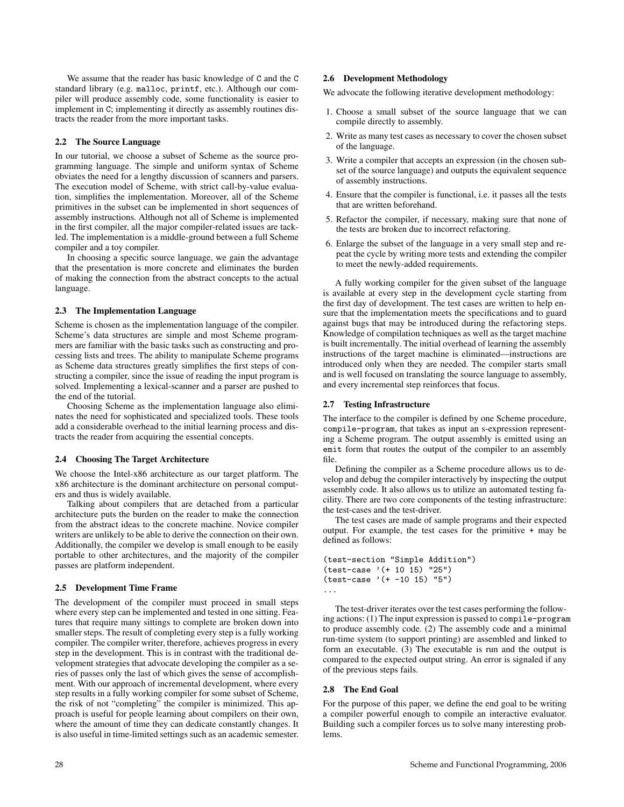We assume that the reader has basic knowledge of C and the C standard library (e.g. malloc, printf, etc.). Although our compiler will produce assembly code, some functionality is easier to implement in C; implementing it directly as assembly routines distracts the reader from the more important tasks.

#### 2.2 The Source Language

In our tutorial, we choose a subset of Scheme as the source programming language. The simple and uniform syntax of Scheme obviates the need for a lengthy discussion of scanners and parsers. The execution model of Scheme, with strict call-by-value evaluation, simplifies the implementation. Moreover, all of the Scheme primitives in the subset can be implemented in short sequences of assembly instructions. Although not all of Scheme is implemented in the first compiler, all the major compiler-related issues are tackled. The implementation is a middle-ground between a full Scheme compiler and a toy compiler.

In choosing a specific source language, we gain the advantage that the presentation is more concrete and eliminates the burden of making the connection from the abstract concepts to the actual language.

#### 2.3 The Implementation Language

Scheme is chosen as the implementation language of the compiler. Scheme's data structures are simple and most Scheme programmers are familiar with the basic tasks such as constructing and processing lists and trees. The ability to manipulate Scheme programs as Scheme data structures greatly simplifies the first steps of constructing a compiler, since the issue of reading the input program is solved. Implementing a lexical-scanner and a parser are pushed to the end of the tutorial.

Choosing Scheme as the implementation language also eliminates the need for sophisticated and specialized tools. These tools add a considerable overhead to the initial learning process and distracts the reader from acquiring the essential concepts.

#### 2.4 Choosing The Target Architecture

We choose the Intel-x86 architecture as our target platform. The x86 architecture is the dominant architecture on personal computers and thus is widely available.

Talking about compilers that are detached from a particular architecture puts the burden on the reader to make the connection from the abstract ideas to the concrete machine. Novice compiler writers are unlikely to be able to derive the connection on their own. Additionally, the compiler we develop is small enough to be easily portable to other architectures, and the majority of the compiler passes are platform independent.

#### 2.5 Development Time Frame

The development of the compiler must proceed in small steps where every step can be implemented and tested in one sitting. Features that require many sittings to complete are broken down into smaller steps. The result of completing every step is a fully working compiler. The compiler writer, therefore, achieves progress in every step in the development. This is in contrast with the traditional development strategies that advocate developing the compiler as a series of passes only the last of which gives the sense of accomplishment. With our approach of incremental development, where every step results in a fully working compiler for some subset of Scheme, the risk of not "completing" the compiler is minimized. This approach is useful for people learning about compilers on their own, where the amount of time they can dedicate constantly changes. It is also useful in time-limited settings such as an academic semester.

## 2.6 Development Methodology

We advocate the following iterative development methodology:

- 1. Choose a small subset of the source language that we can compile directly to assembly.
- 2. Write as many test cases as necessary to cover the chosen subset of the language.
- 3. Write a compiler that accepts an expression (in the chosen subset of the source language) and outputs the equivalent sequence of assembly instructions.
- 4. Ensure that the compiler is functional, i.e. it passes all the tests that are written beforehand.
- 5. Refactor the compiler, if necessary, making sure that none of the tests are broken due to incorrect refactoring.
- 6. Enlarge the subset of the language in a very small step and repeat the cycle by writing more tests and extending the compiler to meet the newly-added requirements.

A fully working compiler for the given subset of the language is available at every step in the development cycle starting from the first day of development. The test cases are written to help ensure that the implementation meets the specifications and to guard against bugs that may be introduced during the refactoring steps. Knowledge of compilation techniques as well as the target machine is built incrementally. The initial overhead of learning the assembly instructions of the target machine is eliminated—instructions are introduced only when they are needed. The compiler starts small and is well focused on translating the source language to assembly, and every incremental step reinforces that focus.

## 2.7 Testing Infrastructure

The interface to the compiler is defined by one Scheme procedure, compile-program, that takes as input an s-expression representing a Scheme program. The output assembly is emitted using an emit form that routes the output of the compiler to an assembly file.

Defining the compiler as a Scheme procedure allows us to develop and debug the compiler interactively by inspecting the output assembly code. It also allows us to utilize an automated testing facility. There are two core components of the testing infrastructure: the test-cases and the test-driver.

The test cases are made of sample programs and their expected output. For example, the test cases for the primitive + may be defined as follows:

```
(test-section "Simple Addition")
(test-case '(+ 10 15) "25")
(test-case ' (+ -10 15) "5")...
```
The test-driver iterates over the test cases performing the following actions: (1) The input expression is passed to compile-program to produce assembly code. (2) The assembly code and a minimal run-time system (to support printing) are assembled and linked to form an executable. (3) The executable is run and the output is compared to the expected output string. An error is signaled if any of the previous steps fails.

## 2.8 The End Goal

For the purpose of this paper, we define the end goal to be writing a compiler powerful enough to compile an interactive evaluator. Building such a compiler forces us to solve many interesting problems.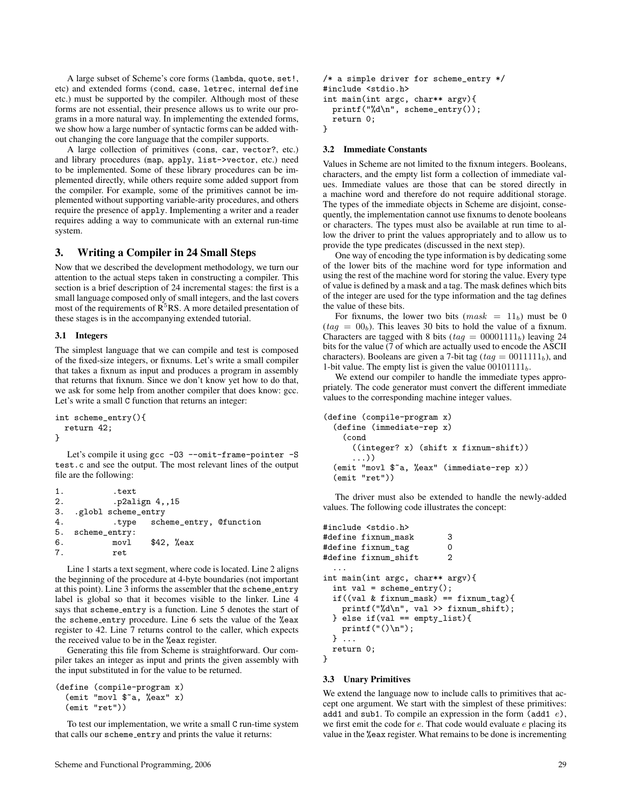A large subset of Scheme's core forms (lambda, quote, set!, etc) and extended forms (cond, case, letrec, internal define etc.) must be supported by the compiler. Although most of these forms are not essential, their presence allows us to write our programs in a more natural way. In implementing the extended forms, we show how a large number of syntactic forms can be added without changing the core language that the compiler supports.

A large collection of primitives (cons, car, vector?, etc.) and library procedures (map, apply, list->vector, etc.) need to be implemented. Some of these library procedures can be implemented directly, while others require some added support from the compiler. For example, some of the primitives cannot be implemented without supporting variable-arity procedures, and others require the presence of apply. Implementing a writer and a reader requires adding a way to communicate with an external run-time system.

# 3. Writing a Compiler in 24 Small Steps

Now that we described the development methodology, we turn our attention to the actual steps taken in constructing a compiler. This section is a brief description of 24 incremental stages: the first is a small language composed only of small integers, and the last covers most of the requirements of  $R<sup>5</sup>RS$ . A more detailed presentation of these stages is in the accompanying extended tutorial.

#### 3.1 Integers

The simplest language that we can compile and test is composed of the fixed-size integers, or fixnums. Let's write a small compiler that takes a fixnum as input and produces a program in assembly that returns that fixnum. Since we don't know yet how to do that, we ask for some help from another compiler that does know: gcc. Let's write a small C function that returns an integer:

```
int scheme_entry(){
 return 42;
}
```
Let's compile it using gcc -03 --omit-frame-pointer -S test.c and see the output. The most relevant lines of the output file are the following:

```
1. .text
2. .p2align 4,,15
3. .globl scheme_entry
4. .type scheme_entry, @function
  5. scheme_entry:
6. movl $42, %eax
7. ret
```
Line 1 starts a text segment, where code is located. Line 2 aligns the beginning of the procedure at 4-byte boundaries (not important at this point). Line  $3$  informs the assembler that the scheme entry label is global so that it becomes visible to the linker. Line 4 says that scheme entry is a function. Line 5 denotes the start of the scheme entry procedure. Line 6 sets the value of the %eax register to 42. Line 7 returns control to the caller, which expects the received value to be in the %eax register.

Generating this file from Scheme is straightforward. Our compiler takes an integer as input and prints the given assembly with the input substituted in for the value to be returned.

```
(define (compile-program x)
 (emit "movl $~a, %eax" x)
 (emit "ret"))
```
To test our implementation, we write a small C run-time system that calls our scheme\_entry and prints the value it returns:

```
/* a simple driver for scheme_entry */
#include <stdio.h>
int main(int argc, char** argv){
  printf("%d\n", scheme_entry());
  return 0;
}
```
#### 3.2 Immediate Constants

Values in Scheme are not limited to the fixnum integers. Booleans, characters, and the empty list form a collection of immediate values. Immediate values are those that can be stored directly in a machine word and therefore do not require additional storage. The types of the immediate objects in Scheme are disjoint, consequently, the implementation cannot use fixnums to denote booleans or characters. The types must also be available at run time to allow the driver to print the values appropriately and to allow us to provide the type predicates (discussed in the next step).

One way of encoding the type information is by dedicating some of the lower bits of the machine word for type information and using the rest of the machine word for storing the value. Every type of value is defined by a mask and a tag. The mask defines which bits of the integer are used for the type information and the tag defines the value of these bits.

For fixnums, the lower two bits  $(mask = 11<sub>b</sub>)$  must be 0  $(taq = 00<sub>b</sub>)$ . This leaves 30 bits to hold the value of a fixnum. Characters are tagged with 8 bits ( $tag = 00001111<sub>b</sub>$ ) leaving 24 bits for the value (7 of which are actually used to encode the ASCII characters). Booleans are given a 7-bit tag ( $taq = 0011111<sub>b</sub>$ ), and 1-bit value. The empty list is given the value  $00101111_b$ .

We extend our compiler to handle the immediate types appropriately. The code generator must convert the different immediate values to the corresponding machine integer values.

```
(define (compile-program x)
  (define (immediate-rep x)
    (cond
      ((integer? x) (shift x fixnum-shift))
      ...))
  (emit "movl $~a, %eax" (immediate-rep x))
 (emit "ret"))
```
The driver must also be extended to handle the newly-added values. The following code illustrates the concept:

```
#include <stdio.h>
#define fixnum_mask 3
#define fixnum_tag 0<br>#define fixnum shift 2
#define fixnum_shift 2
  ...
int main(int argc, char** argv){
  int val = scheme_entry();
  if((val & fixnum\_mask) == fixnum\_tag)printf("%d\n", val >> fixnum_shift);
  } else if(val == empty_list){
    printf("() \n\rightharpoonup");
  } ...
  return 0;
}
```
#### 3.3 Unary Primitives

We extend the language now to include calls to primitives that accept one argument. We start with the simplest of these primitives: add1 and sub1. To compile an expression in the form  $(\text{add1 } e)$ , we first emit the code for e. That code would evaluate e placing its value in the %eax register. What remains to be done is incrementing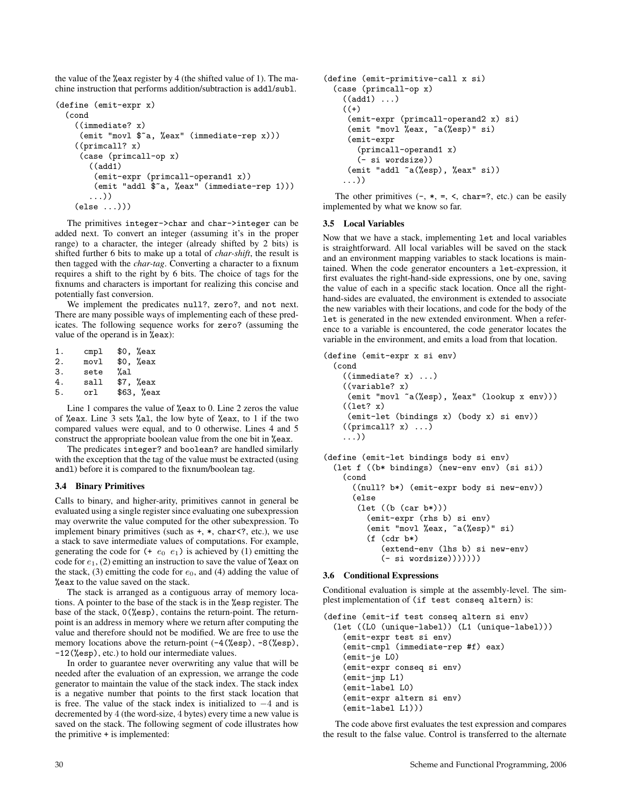the value of the %eax register by 4 (the shifted value of 1). The machine instruction that performs addition/subtraction is addl/subl.

```
(define (emit-expr x)
 (cond
    ((immediate? x)
     (emit "movl $~a, %eax" (immediate-rep x)))
    ((primcall? x)
     (case (primcall-op x)
       ((add1)
        (emit-expr (primcall-operand1 x))
        (emit "addl $~a, %eax" (immediate-rep 1)))
       ...))
    (else ...)))
```
The primitives integer->char and char->integer can be added next. To convert an integer (assuming it's in the proper range) to a character, the integer (already shifted by 2 bits) is shifted further 6 bits to make up a total of *char-shift*, the result is then tagged with the *char-tag*. Converting a character to a fixnum requires a shift to the right by 6 bits. The choice of tags for the fixnums and characters is important for realizing this concise and potentially fast conversion.

We implement the predicates null?, zero?, and not next. There are many possible ways of implementing each of these predicates. The following sequence works for zero? (assuming the value of the operand is in  $\sqrt{2}$ eax):

| 1. | cmpl | $$0.$ %eax             |
|----|------|------------------------|
| 2. | movl | $$0.$ %eax             |
| 3. | sete | %al                    |
| 4. | sall | $$7.$ %eax             |
| 5. | orl  | \$63. % <sub>ear</sub> |
|    |      |                        |

Line 1 compares the value of %eax to 0. Line 2 zeros the value of %eax. Line 3 sets %al, the low byte of %eax, to 1 if the two compared values were equal, and to 0 otherwise. Lines 4 and 5 construct the appropriate boolean value from the one bit in %eax.

The predicates integer? and boolean? are handled similarly with the exception that the tag of the value must be extracted (using andl) before it is compared to the fixnum/boolean tag.

## 3.4 Binary Primitives

Calls to binary, and higher-arity, primitives cannot in general be evaluated using a single register since evaluating one subexpression may overwrite the value computed for the other subexpression. To implement binary primitives (such as +, \*, char<?, etc.), we use a stack to save intermediate values of computations. For example, generating the code for  $(+e_0 \t e_1)$  is achieved by (1) emitting the code for  $e_1$ , (2) emitting an instruction to save the value of %eax on the stack, (3) emitting the code for  $e_0$ , and (4) adding the value of %eax to the value saved on the stack.

The stack is arranged as a contiguous array of memory locations. A pointer to the base of the stack is in the %esp register. The base of the stack, 0(%esp), contains the return-point. The returnpoint is an address in memory where we return after computing the value and therefore should not be modified. We are free to use the memory locations above the return-point  $(-4$  (%esp), -8 (%esp), -12(%esp), etc.) to hold our intermediate values.

In order to guarantee never overwriting any value that will be needed after the evaluation of an expression, we arrange the code generator to maintain the value of the stack index. The stack index is a negative number that points to the first stack location that is free. The value of the stack index is initialized to −4 and is decremented by 4 (the word-size, 4 bytes) every time a new value is saved on the stack. The following segment of code illustrates how the primitive + is implemented:

```
(define (emit-primitive-call x si)
  (case (primcall-op x)
    ((add1) \dots)(+)(emit-expr (primcall-operand2 x) si)
     (emit "movl %eax, ~a(%esp)" si)
     (emit-expr
       (primcall-operand1 x)
       (- si wordsize))
     (emit "addl ~a(%esp), %eax" si))
    ...))
```
The other primitives  $(-, *, =, <, char=?, etc.)$  can be easily implemented by what we know so far.

## 3.5 Local Variables

Now that we have a stack, implementing let and local variables is straightforward. All local variables will be saved on the stack and an environment mapping variables to stack locations is maintained. When the code generator encounters a let-expression, it first evaluates the right-hand-side expressions, one by one, saving the value of each in a specific stack location. Once all the righthand-sides are evaluated, the environment is extended to associate the new variables with their locations, and code for the body of the let is generated in the new extended environment. When a reference to a variable is encountered, the code generator locates the variable in the environment, and emits a load from that location.

```
(define (emit-expr x si env)
 (cond
    ((immediate? x) ...)
    ((variable? x)
    (emit "movl ~a(%esp), %eax" (lookup x env)))
    ((let? x))(emit-let (bindings x) (body x) si env))
    ((principal? x) ...)...))
(define (emit-let bindings body si env)
 (let f ((b* bindings) (new-env env) (si si))
    (cond
      ((null? b*) (emit-expr body si new-env))
      (else
       (let ((b (car b*)))
         (emit-expr (rhs b) si env)
         (emit "movl %eax, ~a(%esp)" si)
         (f (cdr b*)(extend-env (lhs b) si new-env)
            (- si wordsize)))))))
```
#### 3.6 Conditional Expressions

Conditional evaluation is simple at the assembly-level. The simplest implementation of (if test conseq altern) is:

```
(define (emit-if test conseq altern si env)
 (let ((L0 (unique-label)) (L1 (unique-label)))
    (emit-expr test si env)
    (emit-cmpl (immediate-rep #f) eax)
    (emit-je L0)
    (emit-expr conseq si env)
    (emit-jmp L1)
    (emit-label L0)
    (emit-expr altern si env)
    (emit-label L1)))
```
The code above first evaluates the test expression and compares the result to the false value. Control is transferred to the alternate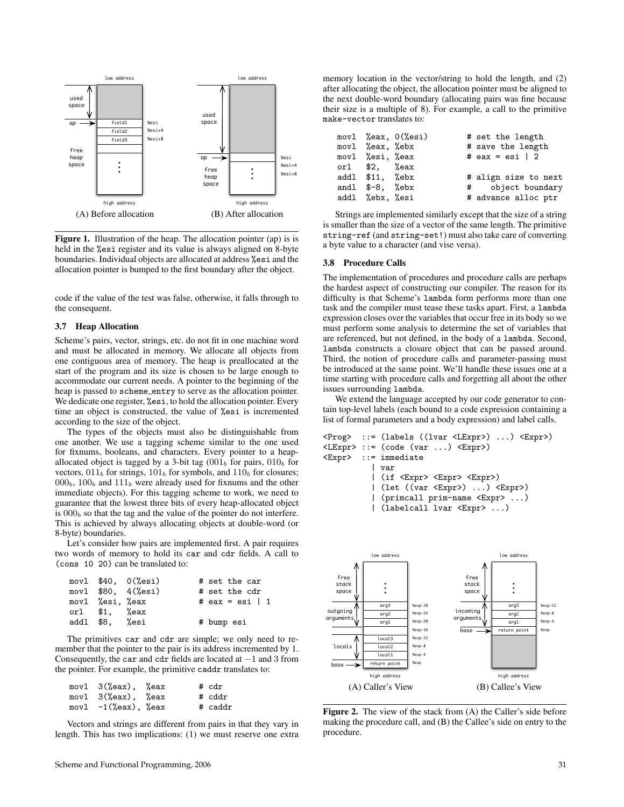

Figure 1. Illustration of the heap. The allocation pointer (ap) is is held in the % estimates register and its value is always aligned on 8-byte boundaries. Individual objects are allocated at address %esi and the allocation pointer is bumped to the first boundary after the object.

code if the value of the test was false, otherwise, it falls through to the consequent.

#### 3.7 Heap Allocation

Scheme's pairs, vector, strings, etc. do not fit in one machine word and must be allocated in memory. We allocate all objects from one contiguous area of memory. The heap is preallocated at the start of the program and its size is chosen to be large enough to accommodate our current needs. A pointer to the beginning of the heap is passed to scheme entry to serve as the allocation pointer. We dedicate one register,  $\%$ esi, to hold the allocation pointer. Every time an object is constructed, the value of %esi is incremented according to the size of the object.

The types of the objects must also be distinguishable from one another. We use a tagging scheme similar to the one used for fixnums, booleans, and characters. Every pointer to a heapallocated object is tagged by a 3-bit tag  $(0.01<sub>b</sub>$  for pairs,  $0.01<sub>b</sub>$  for vectors,  $011<sub>b</sub>$  for strings,  $101<sub>b</sub>$  for symbols, and  $110<sub>b</sub>$  for closures;  $000<sub>b</sub>$ ,  $100<sub>b</sub>$  and  $111<sub>b</sub>$  were already used for fixnums and the other immediate objects). For this tagging scheme to work, we need to guarantee that the lowest three bits of every heap-allocated object is  $000<sub>b</sub>$  so that the tag and the value of the pointer do not interfere. This is achieved by always allocating objects at double-word (or 8-byte) boundaries.

Let's consider how pairs are implemented first. A pair requires two words of memory to hold its car and cdr fields. A call to (cons 10 20) can be translated to:

|                 | $mov1$ \$40, $0$ (%esi)  | # set the car         |
|-----------------|--------------------------|-----------------------|
|                 | movl $$80, 4$ ( $%$ esi) | # set the cdr         |
| movl %esi, %eax |                          | # eax = esi $\vert$ 1 |
| orl $$1.$ %eax  |                          |                       |
| addl \$8, %esi  |                          | # bump esi            |

The primitives car and cdr are simple; we only need to remember that the pointer to the pair is its address incremented by 1. Consequently, the car and cdr fields are located at  $-1$  and 3 from the pointer. For example, the primitive caddr translates to:

| movl 3(%eax), %eax     |  | # cdr   |
|------------------------|--|---------|
| movl 3(%eax), %eax     |  | # cddr  |
| movl $-1$ (%eax), %eax |  | # caddr |

Vectors and strings are different from pairs in that they vary in length. This has two implications: (1) we must reserve one extra memory location in the vector/string to hold the length, and (2) after allocating the object, the allocation pointer must be aligned to the next double-word boundary (allocating pairs was fine because their size is a multiple of 8). For example, a call to the primitive make-vector translates to:

|                      | movl $%$ eax, $0$ $%$ esi | # set the length      |
|----------------------|---------------------------|-----------------------|
| movl %eax, %ebx      |                           | # save the length     |
| movl %esi, %eax      |                           | # eax = esi $\vert$ 2 |
| orl $$2$ , $%$ eax   |                           |                       |
| addl \$11, %ebx      |                           | # align size to next  |
| andl $$-8$ , $%$ ebx |                           | # object boundary     |
| addl %ebx, %esi      |                           | # advance alloc ptr   |

Strings are implemented similarly except that the size of a string is smaller than the size of a vector of the same length. The primitive string-ref (and string-set!) must also take care of converting a byte value to a character (and vise versa).

#### 3.8 Procedure Calls

The implementation of procedures and procedure calls are perhaps the hardest aspect of constructing our compiler. The reason for its difficulty is that Scheme's lambda form performs more than one task and the compiler must tease these tasks apart. First, a lambda expression closes over the variables that occur free in its body so we must perform some analysis to determine the set of variables that are referenced, but not defined, in the body of a lambda. Second, lambda constructs a closure object that can be passed around. Third, the notion of procedure calls and parameter-passing must be introduced at the same point. We'll handle these issues one at a time starting with procedure calls and forgetting all about the other issues surrounding lambda.

We extend the language accepted by our code generator to contain top-level labels (each bound to a code expression containing a list of formal parameters and a body expression) and label calls.

```
<Prog> ::= (labels ((lvar <LExpr>) ...) <Expr>)
<LExpr> ::= (code (var ...) <Expr>)
<Expr> ::= immediate
          | var
          | (if <Expr> <Expr> <Expr>)
          | (let ((var <Expr>) ...) <Expr>)
          | (primcall prim-name <Expr> ...)
          | (labelcall lvar <Expr> ...)
```


Figure 2. The view of the stack from (A) the Caller's side before making the procedure call, and (B) the Callee's side on entry to the procedure.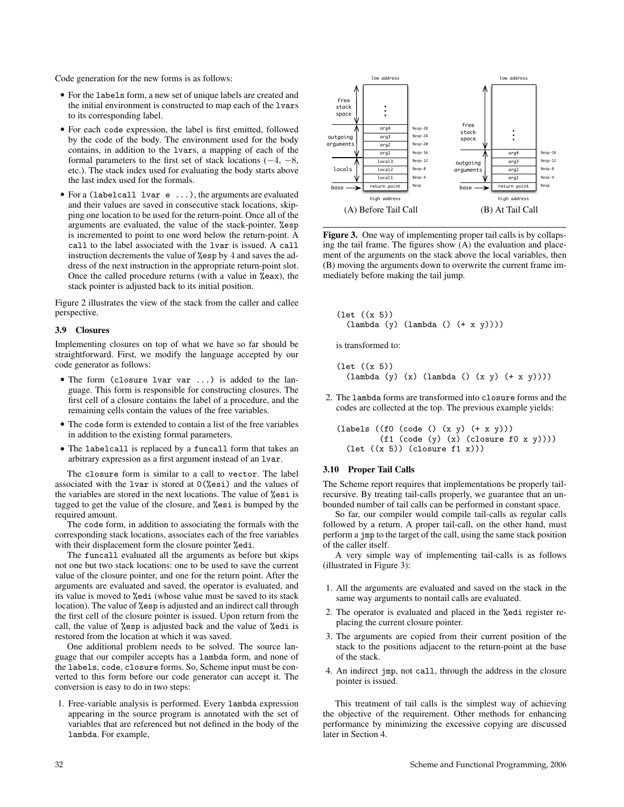Code generation for the new forms is as follows:

- For the labels form, a new set of unique labels are created and the initial environment is constructed to map each of the lvars to its corresponding label.
- For each code expression, the label is first emitted, followed by the code of the body. The environment used for the body contains, in addition to the lvars, a mapping of each of the formal parameters to the first set of stack locations  $(-4, -8,$ etc.). The stack index used for evaluating the body starts above the last index used for the formals.
- For a (labelcall lvar e ...), the arguments are evaluated and their values are saved in consecutive stack locations, skipping one location to be used for the return-point. Once all of the arguments are evaluated, the value of the stack-pointer, %esp is incremented to point to one word below the return-point. A call to the label associated with the lvar is issued. A call instruction decrements the value of %esp by 4 and saves the address of the next instruction in the appropriate return-point slot. Once the called procedure returns (with a value in %eax), the stack pointer is adjusted back to its initial position.

Figure 2 illustrates the view of the stack from the caller and callee perspective.

#### 3.9 Closures

Implementing closures on top of what we have so far should be straightforward. First, we modify the language accepted by our code generator as follows:

- The form (closure lvar var ...) is added to the language. This form is responsible for constructing closures. The first cell of a closure contains the label of a procedure, and the remaining cells contain the values of the free variables.
- The code form is extended to contain a list of the free variables in addition to the existing formal parameters.
- The labelcall is replaced by a funcall form that takes an arbitrary expression as a first argument instead of an lvar.

The closure form is similar to a call to vector. The label associated with the lvar is stored at 0(%esi) and the values of the variables are stored in the next locations. The value of %esi is tagged to get the value of the closure, and %esi is bumped by the required amount.

The code form, in addition to associating the formals with the corresponding stack locations, associates each of the free variables with their displacement form the closure pointer %edi.

The funcall evaluated all the arguments as before but skips not one but two stack locations: one to be used to save the current value of the closure pointer, and one for the return point. After the arguments are evaluated and saved, the operator is evaluated, and its value is moved to %edi (whose value must be saved to its stack location). The value of %esp is adjusted and an indirect call through the first cell of the closure pointer is issued. Upon return from the call, the value of %esp is adjusted back and the value of %edi is restored from the location at which it was saved.

One additional problem needs to be solved. The source language that our compiler accepts has a lambda form, and none of the labels, code, closure forms. So, Scheme input must be converted to this form before our code generator can accept it. The conversion is easy to do in two steps:

1. Free-variable analysis is performed. Every lambda expression appearing in the source program is annotated with the set of variables that are referenced but not defined in the body of the lambda. For example,



Figure 3. One way of implementing proper tail calls is by collapsing the tail frame. The figures show (A) the evaluation and placement of the arguments on the stack above the local variables, then (B) moving the arguments down to overwrite the current frame immediately before making the tail jump.

```
(let ((x 5))
  (lambda (y) (lambda () (+ x y))))
```
is transformed to:

(let ((x 5)) (lambda (y) (x) (lambda () (x y) (+ x y))))

2. The lambda forms are transformed into closure forms and the codes are collected at the top. The previous example yields:

(labels ((f0 (code () (x y) (+ x y))) (f1 (code (y) (x) (closure f0 x y)))) (let ((x 5)) (closure f1 x)))

#### 3.10 Proper Tail Calls

The Scheme report requires that implementations be properly tailrecursive. By treating tail-calls properly, we guarantee that an unbounded number of tail calls can be performed in constant space.

So far, our compiler would compile tail-calls as regular calls followed by a return. A proper tail-call, on the other hand, must perform a jmp to the target of the call, using the same stack position of the caller itself.

A very simple way of implementing tail-calls is as follows (illustrated in Figure 3):

- 1. All the arguments are evaluated and saved on the stack in the same way arguments to nontail calls are evaluated.
- 2. The operator is evaluated and placed in the %edi register replacing the current closure pointer.
- 3. The arguments are copied from their current position of the stack to the positions adjacent to the return-point at the base of the stack.
- 4. An indirect jmp, not call, through the address in the closure pointer is issued.

This treatment of tail calls is the simplest way of achieving the objective of the requirement. Other methods for enhancing performance by minimizing the excessive copying are discussed later in Section 4.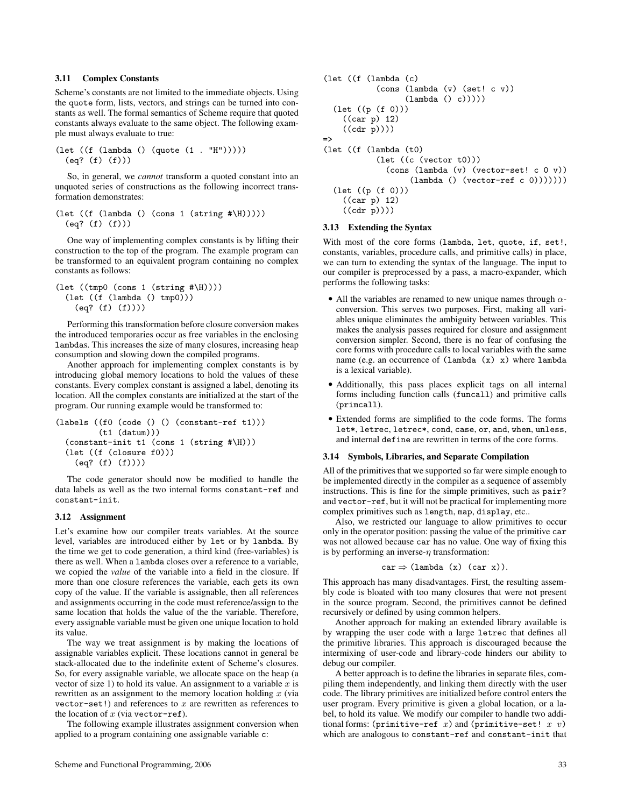## 3.11 Complex Constants

Scheme's constants are not limited to the immediate objects. Using the quote form, lists, vectors, and strings can be turned into constants as well. The formal semantics of Scheme require that quoted constants always evaluate to the same object. The following example must always evaluate to true:

(let ((f (lambda () (quote (1 . "H"))))) (eq? (f) (f)))

So, in general, we *cannot* transform a quoted constant into an unquoted series of constructions as the following incorrect transformation demonstrates:

```
(let ((f (lambda () (cons 1 (string #\H)))))
 (eq? (f) (f)))
```
One way of implementing complex constants is by lifting their construction to the top of the program. The example program can be transformed to an equivalent program containing no complex constants as follows:

```
(\text{let } ((tmp0 (cons 1 (string <math>\# \H)))))(let ((f (lambda () tmp0)))
    (eq? (f) (f))))
```
Performing this transformation before closure conversion makes the introduced temporaries occur as free variables in the enclosing lambdas. This increases the size of many closures, increasing heap consumption and slowing down the compiled programs.

Another approach for implementing complex constants is by introducing global memory locations to hold the values of these constants. Every complex constant is assigned a label, denoting its location. All the complex constants are initialized at the start of the program. Our running example would be transformed to:

```
(labels ((f0 (code () () (constant-ref t1)))
         (t1 (datum)))
 (constant-init t1 (cons 1 (string #\H)))
 (let ((f (closure f0)))
    (eq? (f) (f))))
```
The code generator should now be modified to handle the data labels as well as the two internal forms constant-ref and constant-init.

#### 3.12 Assignment

Let's examine how our compiler treats variables. At the source level, variables are introduced either by let or by lambda. By the time we get to code generation, a third kind (free-variables) is there as well. When a lambda closes over a reference to a variable, we copied the *value* of the variable into a field in the closure. If more than one closure references the variable, each gets its own copy of the value. If the variable is assignable, then all references and assignments occurring in the code must reference/assign to the same location that holds the value of the the variable. Therefore, every assignable variable must be given one unique location to hold its value.

The way we treat assignment is by making the locations of assignable variables explicit. These locations cannot in general be stack-allocated due to the indefinite extent of Scheme's closures. So, for every assignable variable, we allocate space on the heap (a vector of size 1) to hold its value. An assignment to a variable  $x$  is rewritten as an assignment to the memory location holding  $x$  (via vector-set!) and references to  $x$  are rewritten as references to the location of  $x$  (via vector-ref).

The following example illustrates assignment conversion when applied to a program containing one assignable variable c:

```
(let ((f (lambda (c)
           (cons (lambda (v) (set! c v))
                  (lambda () c)))))
  (let ((p (f 0)))
    ((car p) 12)
    ((cdr p))))
=>
(let ((f (lambda (t0)
           (let ((c (vector t0)))
             (cons (lambda (v) (vector-set! c 0 v))
                   (lambda () (vector-ref c 0)))))))
  (let ((p (f 0)))
    ((car p) 12)
    ((cdr p))))
```
#### 3.13 Extending the Syntax

With most of the core forms (lambda, let, quote, if, set!, constants, variables, procedure calls, and primitive calls) in place, we can turn to extending the syntax of the language. The input to our compiler is preprocessed by a pass, a macro-expander, which performs the following tasks:

- All the variables are renamed to new unique names through  $\alpha$ conversion. This serves two purposes. First, making all variables unique eliminates the ambiguity between variables. This makes the analysis passes required for closure and assignment conversion simpler. Second, there is no fear of confusing the core forms with procedure calls to local variables with the same name (e.g. an occurrence of  $(\text{lambda } (x) x)$  where lambda is a lexical variable).
- Additionally, this pass places explicit tags on all internal forms including function calls (funcall) and primitive calls (primcall).
- Extended forms are simplified to the code forms. The forms let\*, letrec, letrec\*, cond, case, or, and, when, unless, and internal define are rewritten in terms of the core forms.

#### 3.14 Symbols, Libraries, and Separate Compilation

All of the primitives that we supported so far were simple enough to be implemented directly in the compiler as a sequence of assembly instructions. This is fine for the simple primitives, such as pair? and vector-ref, but it will not be practical for implementing more complex primitives such as length, map, display, etc..

Also, we restricted our language to allow primitives to occur only in the operator position: passing the value of the primitive car was not allowed because car has no value. One way of fixing this is by performing an inverse- $\eta$  transformation:

$$
car \Rightarrow (lambda (x) (car x)).
$$

This approach has many disadvantages. First, the resulting assembly code is bloated with too many closures that were not present in the source program. Second, the primitives cannot be defined recursively or defined by using common helpers.

Another approach for making an extended library available is by wrapping the user code with a large letrec that defines all the primitive libraries. This approach is discouraged because the intermixing of user-code and library-code hinders our ability to debug our compiler.

A better approach is to define the libraries in separate files, compiling them independently, and linking them directly with the user code. The library primitives are initialized before control enters the user program. Every primitive is given a global location, or a label, to hold its value. We modify our compiler to handle two additional forms: (primitive-ref  $x$ ) and (primitive-set!  $x$  v) which are analogous to constant-ref and constant-init that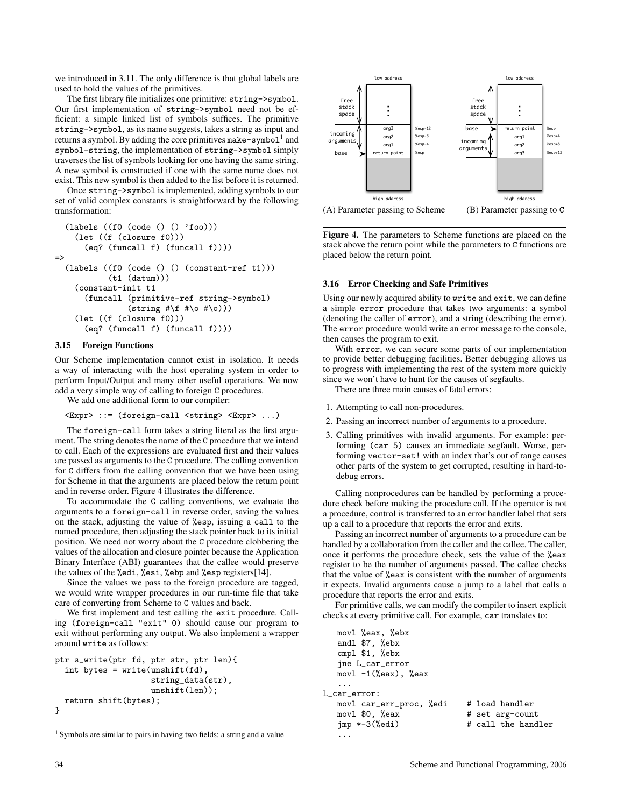we introduced in 3.11. The only difference is that global labels are used to hold the values of the primitives.

The first library file initializes one primitive: string->symbol. Our first implementation of string->symbol need not be efficient: a simple linked list of symbols suffices. The primitive string->symbol, as its name suggests, takes a string as input and returns a symbol. By adding the core primitives make-symbol  $1^1$  and symbol-string, the implementation of string->symbol simply traverses the list of symbols looking for one having the same string. A new symbol is constructed if one with the same name does not exist. This new symbol is then added to the list before it is returned.

Once string->symbol is implemented, adding symbols to our set of valid complex constants is straightforward by the following transformation:

```
(labels ((f0 (code () () 'foo)))
    (let ((f (closure f0)))
      (eq? (funcall f) (funcall f))))
\Rightarrow(labels ((f0 (code () () (constant-ref t1)))
            (t1 (datum)))
    (constant-init t1
      (funcall (primitive-ref string->symbol)
                (\text{string #}\ #\o #\o)))
    (let ((f (closure f0)))
      (eq? (funcall f) (funcall f))))
```
#### 3.15 Foreign Functions

Our Scheme implementation cannot exist in isolation. It needs a way of interacting with the host operating system in order to perform Input/Output and many other useful operations. We now add a very simple way of calling to foreign C procedures.

We add one additional form to our compiler:

```
<Expr> ::= (foreign-call <string> <Expr> ...)
```
The foreign-call form takes a string literal as the first argument. The string denotes the name of the C procedure that we intend to call. Each of the expressions are evaluated first and their values are passed as arguments to the C procedure. The calling convention for C differs from the calling convention that we have been using for Scheme in that the arguments are placed below the return point and in reverse order. Figure 4 illustrates the difference.

To accommodate the C calling conventions, we evaluate the arguments to a foreign-call in reverse order, saving the values on the stack, adjusting the value of %esp, issuing a call to the named procedure, then adjusting the stack pointer back to its initial position. We need not worry about the C procedure clobbering the values of the allocation and closure pointer because the Application Binary Interface (ABI) guarantees that the callee would preserve the values of the %edi, %esi, %ebp and %esp registers[14].

Since the values we pass to the foreign procedure are tagged, we would write wrapper procedures in our run-time file that take care of converting from Scheme to C values and back.

We first implement and test calling the exit procedure. Calling (foreign-call "exit" 0) should cause our program to exit without performing any output. We also implement a wrapper around write as follows:

```
ptr s_write(ptr fd, ptr str, ptr len){
  int bytes = write(maxshift(fd)),
                    string_data(str),
                    unshift(len));
  return shift(bytes);
}
```


Figure 4. The parameters to Scheme functions are placed on the stack above the return point while the parameters to C functions are placed below the return point.

#### 3.16 Error Checking and Safe Primitives

Using our newly acquired ability to write and exit, we can define a simple error procedure that takes two arguments: a symbol (denoting the caller of error), and a string (describing the error). The error procedure would write an error message to the console, then causes the program to exit.

With error, we can secure some parts of our implementation to provide better debugging facilities. Better debugging allows us to progress with implementing the rest of the system more quickly since we won't have to hunt for the causes of segfaults.

There are three main causes of fatal errors:

- 1. Attempting to call non-procedures.
- 2. Passing an incorrect number of arguments to a procedure.
- 3. Calling primitives with invalid arguments. For example: performing (car 5) causes an immediate segfault. Worse, performing vector-set! with an index that's out of range causes other parts of the system to get corrupted, resulting in hard-todebug errors.

Calling nonprocedures can be handled by performing a procedure check before making the procedure call. If the operator is not a procedure, control is transferred to an error handler label that sets up a call to a procedure that reports the error and exits.

Passing an incorrect number of arguments to a procedure can be handled by a collaboration from the caller and the callee. The caller, once it performs the procedure check, sets the value of the %eax register to be the number of arguments passed. The callee checks that the value of %eax is consistent with the number of arguments it expects. Invalid arguments cause a jump to a label that calls a procedure that reports the error and exits.

For primitive calls, we can modify the compiler to insert explicit checks at every primitive call. For example, car translates to:

```
movl %eax, %ebx
    andl $7, %ebx
    cmpl $1, %ebx
    jne L_car_error
    movl -1(%eax), %eax
     ...
L_car_error:
    movl car_err_proc, %edi # load handler
    movl $0, %eax \begin{array}{ccc} \n\text{mod } 30, & \text{max } & \text{# set arg-count} \\
\text{imp} & * -3(\text{%edi}) & \text{# call the hand}\n\end{array}# call the handler
     ...
```
<sup>1</sup> Symbols are similar to pairs in having two fields: a string and a value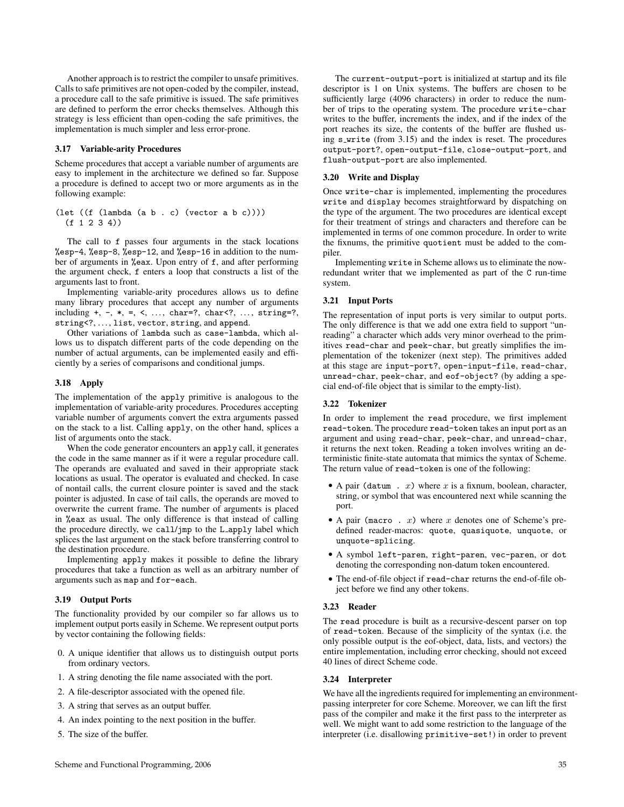Another approach is to restrict the compiler to unsafe primitives. Calls to safe primitives are not open-coded by the compiler, instead, a procedure call to the safe primitive is issued. The safe primitives are defined to perform the error checks themselves. Although this strategy is less efficient than open-coding the safe primitives, the implementation is much simpler and less error-prone.

#### 3.17 Variable-arity Procedures

Scheme procedures that accept a variable number of arguments are easy to implement in the architecture we defined so far. Suppose a procedure is defined to accept two or more arguments as in the following example:

```
(\text{let } ((f (\text{lambda } (a b . c) (vector a b c))))(f 1 2 3 4)
```
The call to f passes four arguments in the stack locations %esp-4, %esp-8, %esp-12, and %esp-16 in addition to the number of arguments in %eax. Upon entry of f, and after performing the argument check, f enters a loop that constructs a list of the arguments last to front.

Implementing variable-arity procedures allows us to define many library procedures that accept any number of arguments including  $+, -, *, =, <, ..., \text{char}=?, \text{char}<, ..., \text{string}=?,</math$ string<?, ..., list, vector, string, and append.

Other variations of lambda such as case-lambda, which allows us to dispatch different parts of the code depending on the number of actual arguments, can be implemented easily and efficiently by a series of comparisons and conditional jumps.

## 3.18 Apply

The implementation of the apply primitive is analogous to the implementation of variable-arity procedures. Procedures accepting variable number of arguments convert the extra arguments passed on the stack to a list. Calling apply, on the other hand, splices a list of arguments onto the stack.

When the code generator encounters an apply call, it generates the code in the same manner as if it were a regular procedure call. The operands are evaluated and saved in their appropriate stack locations as usual. The operator is evaluated and checked. In case of nontail calls, the current closure pointer is saved and the stack pointer is adjusted. In case of tail calls, the operands are moved to overwrite the current frame. The number of arguments is placed in %eax as usual. The only difference is that instead of calling the procedure directly, we call/jmp to the L apply label which splices the last argument on the stack before transferring control to the destination procedure.

Implementing apply makes it possible to define the library procedures that take a function as well as an arbitrary number of arguments such as map and for-each.

## 3.19 Output Ports

The functionality provided by our compiler so far allows us to implement output ports easily in Scheme. We represent output ports by vector containing the following fields:

- 0. A unique identifier that allows us to distinguish output ports from ordinary vectors.
- 1. A string denoting the file name associated with the port.
- 2. A file-descriptor associated with the opened file.
- 3. A string that serves as an output buffer.
- 4. An index pointing to the next position in the buffer.
- 5. The size of the buffer.

The current-output-port is initialized at startup and its file descriptor is 1 on Unix systems. The buffers are chosen to be sufficiently large (4096 characters) in order to reduce the number of trips to the operating system. The procedure write-char writes to the buffer, increments the index, and if the index of the port reaches its size, the contents of the buffer are flushed using s\_write (from 3.15) and the index is reset. The procedures output-port?, open-output-file, close-output-port, and flush-output-port are also implemented.

#### 3.20 Write and Display

Once write-char is implemented, implementing the procedures write and display becomes straightforward by dispatching on the type of the argument. The two procedures are identical except for their treatment of strings and characters and therefore can be implemented in terms of one common procedure. In order to write the fixnums, the primitive quotient must be added to the compiler.

Implementing write in Scheme allows us to eliminate the nowredundant writer that we implemented as part of the C run-time system.

#### 3.21 Input Ports

The representation of input ports is very similar to output ports. The only difference is that we add one extra field to support "unreading" a character which adds very minor overhead to the primitives read-char and peek-char, but greatly simplifies the implementation of the tokenizer (next step). The primitives added at this stage are input-port?, open-input-file, read-char, unread-char, peek-char, and eof-object? (by adding a special end-of-file object that is similar to the empty-list).

## 3.22 Tokenizer

In order to implement the read procedure, we first implement read-token. The procedure read-token takes an input port as an argument and using read-char, peek-char, and unread-char, it returns the next token. Reading a token involves writing an deterministic finite-state automata that mimics the syntax of Scheme. The return value of read-token is one of the following:

- A pair (datum  $x$ ) where x is a fixnum, boolean, character, string, or symbol that was encountered next while scanning the port.
- A pair (macro .  $x$ ) where  $x$  denotes one of Scheme's predefined reader-macros: quote, quasiquote, unquote, or unquote-splicing.
- A symbol left-paren, right-paren, vec-paren, or dot denoting the corresponding non-datum token encountered.
- The end-of-file object if read-char returns the end-of-file object before we find any other tokens.

#### 3.23 Reader

The read procedure is built as a recursive-descent parser on top of read-token. Because of the simplicity of the syntax (i.e. the only possible output is the eof-object, data, lists, and vectors) the entire implementation, including error checking, should not exceed 40 lines of direct Scheme code.

## 3.24 Interpreter

We have all the ingredients required for implementing an environmentpassing interpreter for core Scheme. Moreover, we can lift the first pass of the compiler and make it the first pass to the interpreter as well. We might want to add some restriction to the language of the interpreter (i.e. disallowing primitive-set!) in order to prevent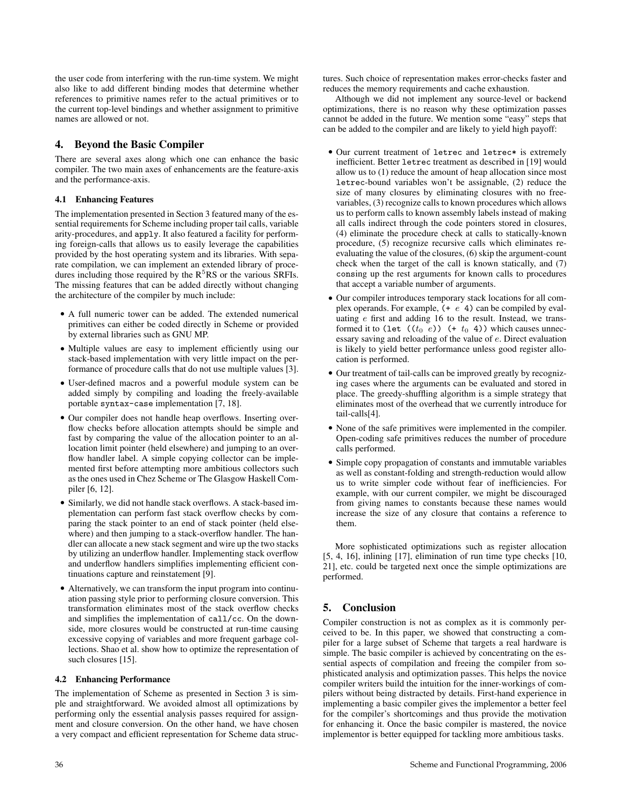the user code from interfering with the run-time system. We might also like to add different binding modes that determine whether references to primitive names refer to the actual primitives or to the current top-level bindings and whether assignment to primitive names are allowed or not.

# 4. Beyond the Basic Compiler

There are several axes along which one can enhance the basic compiler. The two main axes of enhancements are the feature-axis and the performance-axis.

## 4.1 Enhancing Features

The implementation presented in Section 3 featured many of the essential requirements for Scheme including proper tail calls, variable arity-procedures, and apply. It also featured a facility for performing foreign-calls that allows us to easily leverage the capabilities provided by the host operating system and its libraries. With separate compilation, we can implement an extended library of procedures including those required by the  $R<sup>5</sup>RS$  or the various SRFIs. The missing features that can be added directly without changing the architecture of the compiler by much include:

- A full numeric tower can be added. The extended numerical primitives can either be coded directly in Scheme or provided by external libraries such as GNU MP.
- Multiple values are easy to implement efficiently using our stack-based implementation with very little impact on the performance of procedure calls that do not use multiple values [3].
- User-defined macros and a powerful module system can be added simply by compiling and loading the freely-available portable syntax-case implementation [7, 18].
- Our compiler does not handle heap overflows. Inserting overflow checks before allocation attempts should be simple and fast by comparing the value of the allocation pointer to an allocation limit pointer (held elsewhere) and jumping to an overflow handler label. A simple copying collector can be implemented first before attempting more ambitious collectors such as the ones used in Chez Scheme or The Glasgow Haskell Compiler [6, 12].
- Similarly, we did not handle stack overflows. A stack-based implementation can perform fast stack overflow checks by comparing the stack pointer to an end of stack pointer (held elsewhere) and then jumping to a stack-overflow handler. The handler can allocate a new stack segment and wire up the two stacks by utilizing an underflow handler. Implementing stack overflow and underflow handlers simplifies implementing efficient continuations capture and reinstatement [9].
- Alternatively, we can transform the input program into continuation passing style prior to performing closure conversion. This transformation eliminates most of the stack overflow checks and simplifies the implementation of call/cc. On the downside, more closures would be constructed at run-time causing excessive copying of variables and more frequent garbage collections. Shao et al. show how to optimize the representation of such closures [15].

## 4.2 Enhancing Performance

The implementation of Scheme as presented in Section 3 is simple and straightforward. We avoided almost all optimizations by performing only the essential analysis passes required for assignment and closure conversion. On the other hand, we have chosen a very compact and efficient representation for Scheme data struc-

Although we did not implement any source-level or backend optimizations, there is no reason why these optimization passes cannot be added in the future. We mention some "easy" steps that can be added to the compiler and are likely to yield high payoff:

- Our current treatment of letrec and letrec\* is extremely inefficient. Better letrec treatment as described in [19] would allow us to (1) reduce the amount of heap allocation since most letrec-bound variables won't be assignable, (2) reduce the size of many closures by eliminating closures with no freevariables, (3) recognize calls to known procedures which allows us to perform calls to known assembly labels instead of making all calls indirect through the code pointers stored in closures, (4) eliminate the procedure check at calls to statically-known procedure, (5) recognize recursive calls which eliminates reevaluating the value of the closures, (6) skip the argument-count check when the target of the call is known statically, and (7) consing up the rest arguments for known calls to procedures that accept a variable number of arguments.
- Our compiler introduces temporary stack locations for all complex operands. For example,  $(+ e 4)$  can be compiled by evaluating e first and adding 16 to the result. Instead, we transformed it to (let  $((t_0 \ e))$  (+  $t_0$  4)) which causes unnecessary saving and reloading of the value of e. Direct evaluation is likely to yield better performance unless good register allocation is performed.
- Our treatment of tail-calls can be improved greatly by recognizing cases where the arguments can be evaluated and stored in place. The greedy-shuffling algorithm is a simple strategy that eliminates most of the overhead that we currently introduce for tail-calls[4].
- None of the safe primitives were implemented in the compiler. Open-coding safe primitives reduces the number of procedure calls performed.
- Simple copy propagation of constants and immutable variables as well as constant-folding and strength-reduction would allow us to write simpler code without fear of inefficiencies. For example, with our current compiler, we might be discouraged from giving names to constants because these names would increase the size of any closure that contains a reference to them.

More sophisticated optimizations such as register allocation [5, 4, 16], inlining [17], elimination of run time type checks [10, 21], etc. could be targeted next once the simple optimizations are performed.

# 5. Conclusion

Compiler construction is not as complex as it is commonly perceived to be. In this paper, we showed that constructing a compiler for a large subset of Scheme that targets a real hardware is simple. The basic compiler is achieved by concentrating on the essential aspects of compilation and freeing the compiler from sophisticated analysis and optimization passes. This helps the novice compiler writers build the intuition for the inner-workings of compilers without being distracted by details. First-hand experience in implementing a basic compiler gives the implementor a better feel for the compiler's shortcomings and thus provide the motivation for enhancing it. Once the basic compiler is mastered, the novice implementor is better equipped for tackling more ambitious tasks.